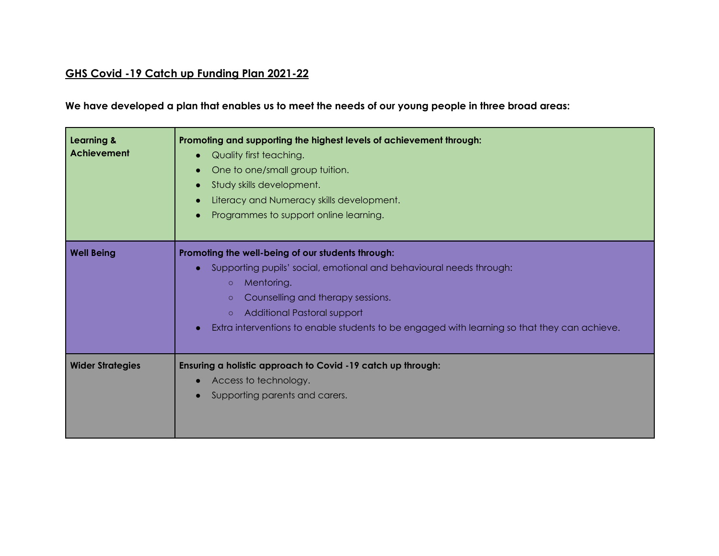## **GHS Covid -19 Catch up Funding Plan 2021-22**

We have developed a plan that enables us to meet the needs of our young people in three broad areas:

| <b>Learning &amp;</b><br><b>Achievement</b> | Promoting and supporting the highest levels of achievement through:<br>Quality first teaching.<br>$\bullet$<br>One to one/small group tuition.<br>Study skills development.<br>Literacy and Numeracy skills development.<br>Programmes to support online learning.                                                                                       |
|---------------------------------------------|----------------------------------------------------------------------------------------------------------------------------------------------------------------------------------------------------------------------------------------------------------------------------------------------------------------------------------------------------------|
| <b>Well Being</b>                           | Promoting the well-being of our students through:<br>Supporting pupils' social, emotional and behavioural needs through:<br>$\bullet$<br>Mentoring.<br>$\circ$<br>Counselling and therapy sessions.<br>$\circ$<br>Additional Pastoral support<br>$\circ$<br>Extra interventions to enable students to be engaged with learning so that they can achieve. |
| <b>Wider Strategies</b>                     | Ensuring a holistic approach to Covid -19 catch up through:<br>Access to technology.<br>$\bullet$<br>Supporting parents and carers.                                                                                                                                                                                                                      |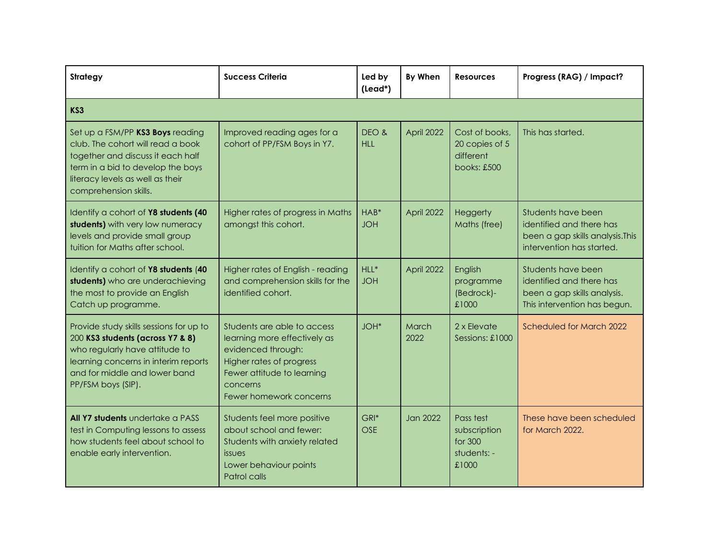| <b>Strategy</b>                                                                                                                                                                                              | <b>Success Criteria</b>                                                                                                                                                            | Led by<br>(Lead*)     | By When         | <b>Resources</b>                                             | Progress (RAG) / Impact?                                                                                        |  |
|--------------------------------------------------------------------------------------------------------------------------------------------------------------------------------------------------------------|------------------------------------------------------------------------------------------------------------------------------------------------------------------------------------|-----------------------|-----------------|--------------------------------------------------------------|-----------------------------------------------------------------------------------------------------------------|--|
| KS3                                                                                                                                                                                                          |                                                                                                                                                                                    |                       |                 |                                                              |                                                                                                                 |  |
| Set up a FSM/PP KS3 Boys reading<br>club. The cohort will read a book<br>together and discuss it each half<br>term in a bid to develop the boys<br>literacy levels as well as their<br>comprehension skills. | Improved reading ages for a<br>cohort of PP/FSM Boys in Y7.                                                                                                                        | DEO &<br><b>HLL</b>   | April 2022      | Cost of books,<br>20 copies of 5<br>different<br>books: £500 | This has started.                                                                                               |  |
| Identify a cohort of Y8 students (40<br>students) with very low numeracy<br>levels and provide small group<br>tuition for Maths after school.                                                                | Higher rates of progress in Maths<br>amongst this cohort.                                                                                                                          | HAB*<br><b>JOH</b>    | April 2022      | <b>Heggerty</b><br>Maths (free)                              | Students have been<br>identified and there has<br>been a gap skills analysis. This<br>intervention has started. |  |
| Identify a cohort of Y8 students (40<br>students) who are underachieving<br>the most to provide an English<br>Catch up programme.                                                                            | Higher rates of English - reading<br>and comprehension skills for the<br>identified cohort.                                                                                        | $HLL^*$<br><b>JOH</b> | April 2022      | English<br>programme<br>(Bedrock)-<br>£1000                  | Students have been<br>identified and there has<br>been a gap skills analysis.<br>This intervention has begun.   |  |
| Provide study skills sessions for up to<br>200 KS3 students (across Y7 & 8)<br>who regularly have attitude to<br>learning concerns in interim reports<br>and for middle and lower band<br>PP/FSM boys (SIP). | Students are able to access<br>learning more effectively as<br>evidenced through:<br>Higher rates of progress<br>Fewer attitude to learning<br>concerns<br>Fewer homework concerns | JOH <sup>*</sup>      | March<br>2022   | 2 x Flevate<br>Sessions: £1000                               | Scheduled for March 2022                                                                                        |  |
| All Y7 students undertake a PASS<br>test in Computing lessons to assess<br>how students feel about school to<br>enable early intervention.                                                                   | Students feel more positive<br>about school and fewer:<br>Students with anxiety related<br><i>issues</i><br>Lower behaviour points<br>Patrol calls                                 | GRI*<br><b>OSE</b>    | <b>Jan 2022</b> | Pass test<br>subscription<br>for 300<br>students: -<br>£1000 | These have been scheduled<br>for March 2022.                                                                    |  |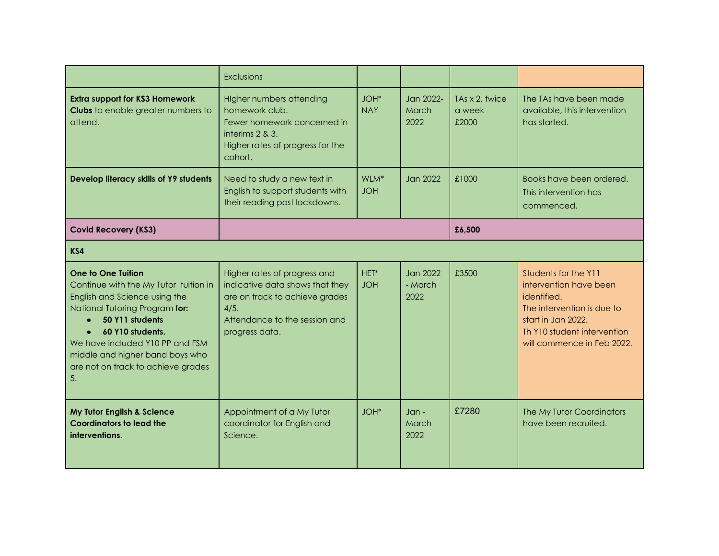|                                                                                                                                                                                                                                                                                         | Exclusions                                                                                                                                                   |                                |                                    |                                   |                                                                                                                                                                                |  |
|-----------------------------------------------------------------------------------------------------------------------------------------------------------------------------------------------------------------------------------------------------------------------------------------|--------------------------------------------------------------------------------------------------------------------------------------------------------------|--------------------------------|------------------------------------|-----------------------------------|--------------------------------------------------------------------------------------------------------------------------------------------------------------------------------|--|
| <b>Extra support for KS3 Homework</b><br><b>Clubs</b> to enable greater numbers to<br>attend.                                                                                                                                                                                           | Higher numbers attending<br>homework club.<br>Fewer homework concerned in<br>interims 2 & 3.<br>Higher rates of progress for the<br>cohort.                  | JOH*<br><b>NAY</b>             | Jan 2022-<br>March<br>2022         | TAs x 2, twice<br>a week<br>£2000 | The TAs have been made<br>available, this intervention<br>has started.                                                                                                         |  |
| Develop literacy skills of Y9 students                                                                                                                                                                                                                                                  | Need to study a new text in<br>English to support students with<br>their reading post lockdowns.                                                             | WLM <sup>*</sup><br><b>JOH</b> | <b>Jan 2022</b>                    | £1000                             | Books have been ordered.<br>This intervention has<br>commenced.                                                                                                                |  |
| <b>Covid Recovery (KS3)</b>                                                                                                                                                                                                                                                             |                                                                                                                                                              |                                |                                    | £6,500                            |                                                                                                                                                                                |  |
| KS4                                                                                                                                                                                                                                                                                     |                                                                                                                                                              |                                |                                    |                                   |                                                                                                                                                                                |  |
| One to One Tuition<br>Continue with the My Tutor tuition in<br>English and Science using the<br>National Tutoring Program for:<br>50 Y11 students<br>60 Y10 students.<br>We have included Y10 PP and FSM<br>middle and higher band boys who<br>are not on track to achieve grades<br>5. | Higher rates of progress and<br>indicative data shows that they<br>are on track to achieve grades<br>4/5.<br>Attendance to the session and<br>progress data. | HET*<br><b>JOH</b>             | <b>Jan 2022</b><br>- March<br>2022 | £3500                             | Students for the Y11<br>intervention have been<br>identified.<br>The intervention is due to<br>start in Jan 2022.<br>Th Y10 student intervention<br>will commence in Feb 2022. |  |
| My Tutor English & Science<br><b>Coordinators to lead the</b><br>interventions.                                                                                                                                                                                                         | Appointment of a My Tutor<br>coordinator for English and<br>Science.                                                                                         | JOH <sup>*</sup>               | $Jan -$<br>March<br>2022           | £7280                             | The My Tutor Coordinators<br>have been recruited.                                                                                                                              |  |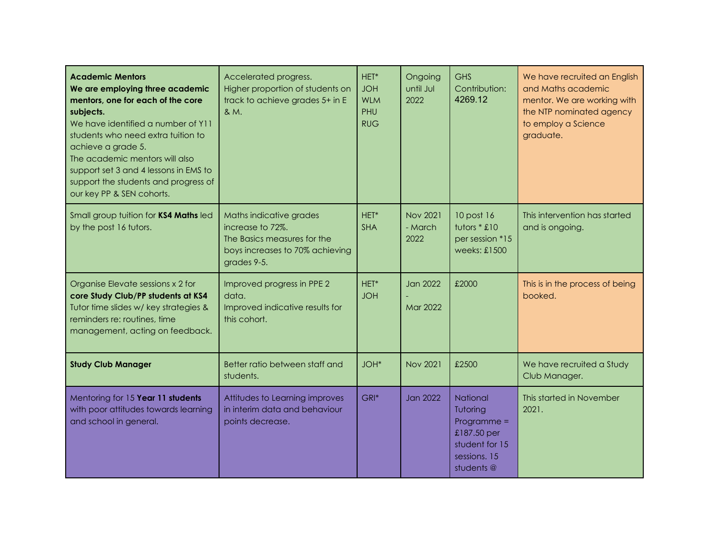| <b>Academic Mentors</b><br>We are employing three academic<br>mentors, one for each of the core<br>subjects.<br>We have identified a number of Y11<br>students who need extra tuition to<br>achieve a grade 5.<br>The academic mentors will also<br>support set 3 and 4 lessons in EMS to<br>support the students and progress of<br>our key PP & SEN cohorts. | Accelerated progress.<br>Higher proportion of students on<br>track to achieve grades 5+ in E<br>& M.                         | HET*<br><b>JOH</b><br><b>WLM</b><br>PHU<br><b>RUG</b> | Ongoing<br><b>Until Jul</b><br>2022 | GHS<br>Contribution:<br>4269.12                                                                      | We have recruited an English<br>and Maths academic<br>mentor. We are working with<br>the NTP nominated agency<br>to employ a Science<br>graduate. |
|----------------------------------------------------------------------------------------------------------------------------------------------------------------------------------------------------------------------------------------------------------------------------------------------------------------------------------------------------------------|------------------------------------------------------------------------------------------------------------------------------|-------------------------------------------------------|-------------------------------------|------------------------------------------------------------------------------------------------------|---------------------------------------------------------------------------------------------------------------------------------------------------|
| Small group tuition for KS4 Maths led<br>by the post 16 tutors.                                                                                                                                                                                                                                                                                                | Maths indicative grades<br>increase to 72%.<br>The Basics measures for the<br>boys increases to 70% achieving<br>grades 9-5. | HET*<br><b>SHA</b>                                    | <b>Nov 2021</b><br>- March<br>2022  | 10 post 16<br>tutors * £10<br>per session *15<br>weeks: $£1500$                                      | This intervention has started<br>and is ongoing.                                                                                                  |
| Organise Elevate sessions x 2 for<br>core Study Club/PP students at KS4<br>Tutor time slides w/ key strategies &<br>reminders re: routines, time<br>management, acting on feedback.                                                                                                                                                                            | Improved progress in PPE 2<br>data.<br>Improved indicative results for<br>this cohort.                                       | HET*<br><b>JOH</b>                                    | <b>Jan 2022</b><br><b>Mar 2022</b>  | £2000                                                                                                | This is in the process of being<br>booked.                                                                                                        |
| <b>Study Club Manager</b>                                                                                                                                                                                                                                                                                                                                      | Better ratio between staff and<br>students.                                                                                  | JOH*                                                  | <b>Nov 2021</b>                     | £2500                                                                                                | We have recruited a Study<br>Club Manager.                                                                                                        |
| Mentoring for 15 Year 11 students<br>with poor attitudes towards learning<br>and school in general.                                                                                                                                                                                                                                                            | Attitudes to Learning improves<br>in interim data and behaviour<br>points decrease.                                          | GRI*                                                  | Jan 2022                            | National<br>Tutoring<br>$Programme =$<br>£187.50 per<br>student for 15<br>sessions. 15<br>students @ | This started in November<br>2021.                                                                                                                 |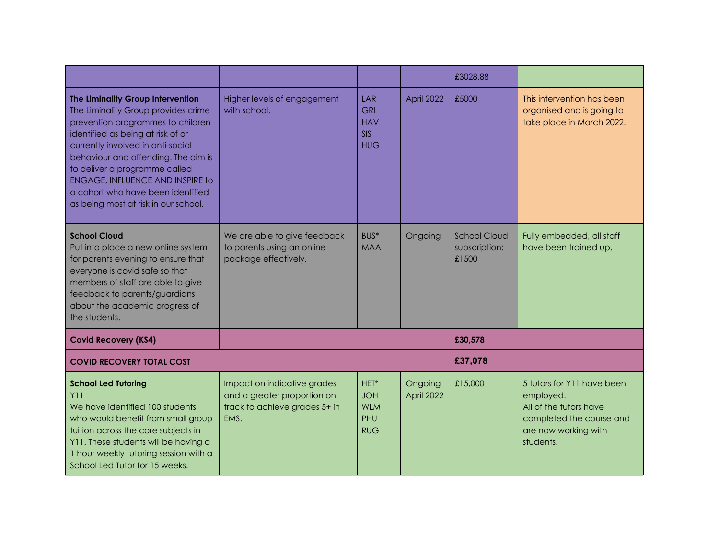|                                                                                                                                                                                                                                                                                                                                                                                         |                                                                                                     |                                                                    |                       | £3028.88                                      |                                                                                                                                    |  |
|-----------------------------------------------------------------------------------------------------------------------------------------------------------------------------------------------------------------------------------------------------------------------------------------------------------------------------------------------------------------------------------------|-----------------------------------------------------------------------------------------------------|--------------------------------------------------------------------|-----------------------|-----------------------------------------------|------------------------------------------------------------------------------------------------------------------------------------|--|
| The Liminality Group Intervention<br>The Liminality Group provides crime<br>prevention programmes to children<br>identified as being at risk of or<br>currently involved in anti-social<br>behaviour and offending. The aim is<br>to deliver a programme called<br><b>ENGAGE, INFLUENCE AND INSPIRE to</b><br>a cohort who have been identified<br>as being most at risk in our school. | Higher levels of engagement<br>with school.                                                         | <b>LAR</b><br><b>GRI</b><br><b>HAV</b><br><b>SIS</b><br><b>HUG</b> | April 2022            | £5000                                         | This intervention has been<br>organised and is going to<br>take place in March 2022.                                               |  |
| <b>School Cloud</b><br>Put into place a new online system<br>for parents evening to ensure that<br>everyone is covid safe so that<br>members of staff are able to give<br>feedback to parents/guardians<br>about the academic progress of<br>the students.                                                                                                                              | We are able to give feedback<br>to parents using an online<br>package effectively.                  | BUS*<br><b>MAA</b>                                                 | Ongoing               | <b>School Cloud</b><br>subscription:<br>£1500 | Fully embedded, all staff<br>have been trained up.                                                                                 |  |
| <b>Covid Recovery (KS4)</b>                                                                                                                                                                                                                                                                                                                                                             |                                                                                                     |                                                                    |                       | £30,578                                       |                                                                                                                                    |  |
| <b>COVID RECOVERY TOTAL COST</b>                                                                                                                                                                                                                                                                                                                                                        |                                                                                                     |                                                                    |                       | £37,078                                       |                                                                                                                                    |  |
| <b>School Led Tutoring</b><br>Y11<br>We have identified 100 students<br>who would benefit from small group<br>tuition across the core subjects in<br>Y11. These students will be having a<br>I hour weekly tutoring session with a<br>School Led Tutor for 15 weeks.                                                                                                                    | Impact on indicative grades<br>and a greater proportion on<br>track to achieve grades 5+ in<br>EMS. | HET*<br><b>JOH</b><br><b>WLM</b><br>PHU<br><b>RUG</b>              | Ongoing<br>April 2022 | £15,000                                       | 5 tutors for Y11 have been<br>employed.<br>All of the tutors have<br>completed the course and<br>are now working with<br>students. |  |